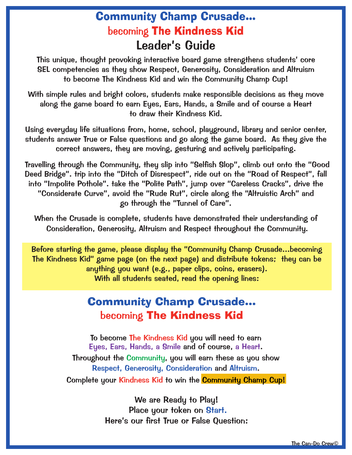# Community Champ Crusade... becoming The Kindness Kid Leader's Guide

This unique, thought provoking interactive board game strengthens students' core SEL competencies as they show Respect, Generosity, Consideration and Altruism to become The Kindness Kid and win the Community Champ Cup!

With simple rules and bright colors, students make responsible decisions as they move along the game board to earn Eyes, Ears, Hands, a Smile and of course a Heart to draw their Kindness Kid.

Using everyday life situations from, home, school, playground, library and senior center, students answer True or False questions and go along the game board. As they give the correct answers, they are moving, gesturing and actively participating.

Travelling through the Community, they slip into "Selfish Slop", climb out onto the "Good Deed Bridge". trip into the "Ditch of Disrespect", ride out on the "Road of Respect", fall into "Impolite Pothole". take the "Polite Path", jump over "Careless Cracks", drive the "Considerate Curve", avoid the "Rude Rut", circle along the "Altruistic Arch" and go through the "Tunnel of Care".

When the Crusade is complete, students have demonstrated their understanding of Consideration, Generosity, Altruism and Respect throughout the Community.

Before starting the game, please display the "Community Champ Crusade...becoming The Kindness Kid" game page (on the next page) and distribute tokens; they can be anything you want (e.g., paper clips, coins, erasers). With all students seated, read the opening lines:

## Community Champ Crusade... becoming The Kindness Kid

To become The Kindness Kid you will need to earn Eyes, Ears, Hands, a Smile and of course, a Heart. Throughout the Community, you will earn these as you show Respect, Generosity, Consideration and Altruism. Complete your Kindness Kid to win the Community Champ Cup!

> We are Ready to Play! Place your token on Start. Here's our first True or False Question: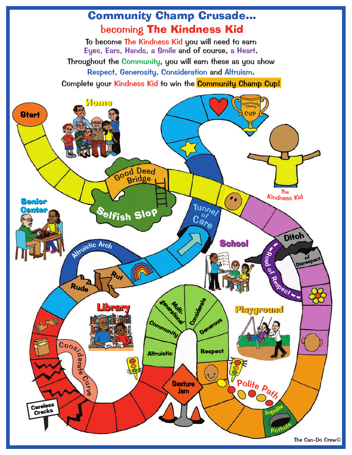# Community Champ Crusade... becoming The Kindness Kid

To become The Kindness Kid you will need to earn Eyes, Ears, Hands, a Smile and of course, a Heart.

Throughout the Community, you will earn these as you show Respect, Generosity, Consideration and Altruism. Complete your Kindness Kid to win the Community Champ Cup!

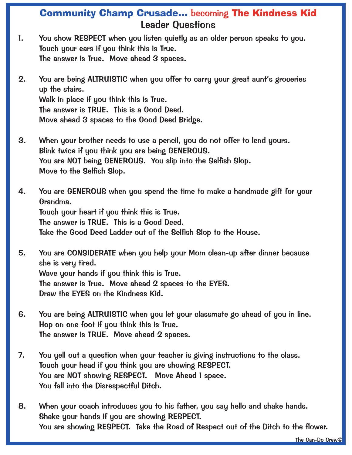### Community Champ Crusade... becoming The Kindness Kid Leader Questions

- 1. You show RESPECT when you listen quietly as an older person speaks to you. Touch your ears if you think this is True. The answer is True. Move ahead 3 spaces.
- 2. You are being ALTRUISTIC when you offer to carry your great aunt's groceries up the stairs. Walk in place if you think this is True. The answer is TRUE. This is a Good Deed. Move ahead 3 spaces to the Good Deed Bridge.
- 3. When your brother needs to use a pencil, you do not offer to lend yours. Blink twice if you think you are being GENEROUS. You are NOT being GENEROUS. You slip into the Selfish Slop. Move to the Selfish Slop.
- 4. You are GENEROUS when you spend the time to make a handmade gift for your Grandma. Touch your heart if you think this is True. The answer is TRUE. This is a Good Deed. Take the Good Deed Ladder out of the Selfish Slop to the House.
- 5. You are CONSIDERATE when you help your Mom clean-up after dinner because she is very tired. Wave your hands if you think this is True. The answer is True. Move ahead 2 spaces to the EYES. Draw the EYES on the Kindness Kid.
- 6. You are being ALTRUISTIC when you let your classmate go ahead of you in line. Hop on one foot if you think this is True. The answer is TRUE. Move ahead 2 spaces.
- 7. You yell out a question when your teacher is giving instructions to the class. Touch your head if you think you are showing RESPECT. You are NOT showing RESPECT. Move Ahead 1 space. You fall into the Disrespectful Ditch.
- 8. When your coach introduces you to his father, you say hello and shake hands. Shake your hands if you are showing RESPECT. You are showing RESPECT. Take the Road of Respect out of the Ditch to the flower.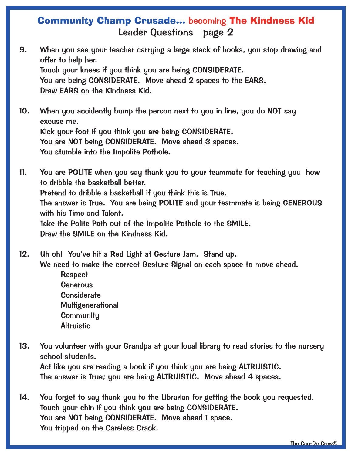### Community Champ Crusade... becoming The Kindness Kid Leader Questions page 2

9. When you see your teacher carrying a large stack of books, you stop drawing and offer to help her. Touch your knees if you think you are being CONSIDERATE.

You are being CONSIDERATE. Move ahead 2 spaces to the EARS. Draw EARS on the Kindness Kid.

- 10. When you accidently bump the person next to you in line, you do NOT say excuse me. Kick your foot if you think you are being CONSIDERATE. You are NOT being CONSIDERATE. Move ahead 3 spaces. You stumble into the Impolite Pothole.
- 11. You are POLITE when you say thank you to your teammate for teaching you how to dribble the basketball better. Pretend to dribble a basketball if you think this is True. The answer is True. You are being POLITE and your teammate is being GENEROUS with his Time and Talent. Take the Polite Path out of the Impolite Pothole to the SMILE. Draw the SMILE on the Kindness Kid.
- 12. Uh oh! You've hit a Red Light at Gesture Jam. Stand up. We need to make the correct Gesture Signal on each space to move ahead.
	- Respect **Generous Considerate Multigenerational Community Altruistic**
- 13. You volunteer with your Grandpa at your local library to read stories to the nursery school students.

Act like you are reading a book if you think you are being ALTRUISTIC. The answer is True; you are being ALTRUISTIC. Move ahead 4 spaces.

14. You forget to say thank you to the Librarian for getting the book you requested. Touch your chin if you think you are being CONSIDERATE. You are NOT being CONSIDERATE. Move ahead 1 space. You tripped on the Careless Crack.